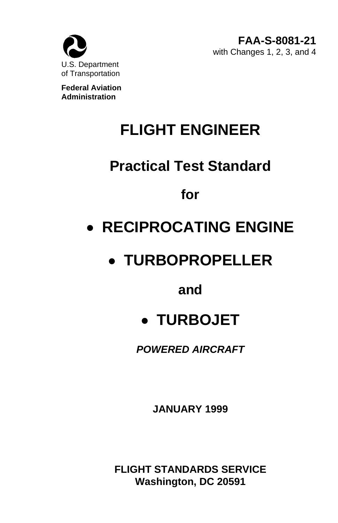

**Federal Aviation Administration**

# **FLIGHT ENGINEER**

# **Practical Test Standard**

# **for**

# • **RECIPROCATING ENGINE**

# • **TURBOPROPELLER**

**and**

# • **TURBOJET**

*POWERED AIRCRAFT*

**JANUARY 1999**

**FLIGHT STANDARDS SERVICE Washington, DC 20591**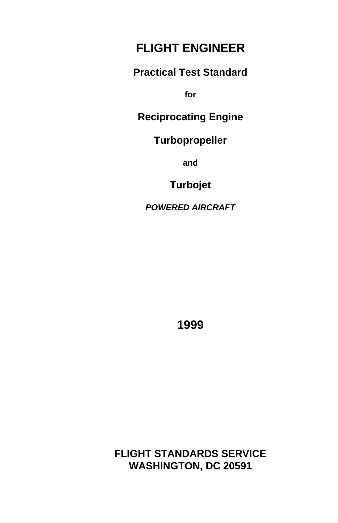# **FLIGHT ENGINEER**

# **Practical Test Standard**

**for**

# **Reciprocating Engine**

**Turbopropeller**

**and**

**Turbojet**

*POWERED AIRCRAFT*

**1999**

**FLIGHT STANDARDS SERVICE WASHINGTON, DC 20591**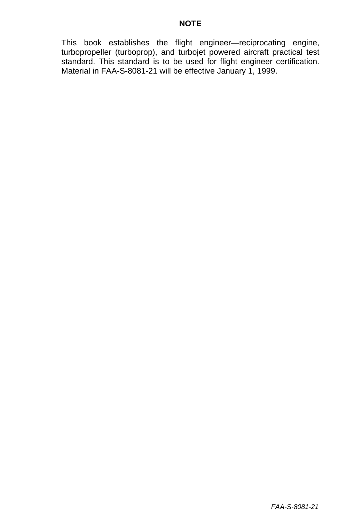#### **NOTE**

This book establishes the flight engineer—reciprocating engine, turbopropeller (turboprop), and turbojet powered aircraft practical test standard. This standard is to be used for flight engineer certification. Material in FAA-S-8081-21 will be effective January 1, 1999.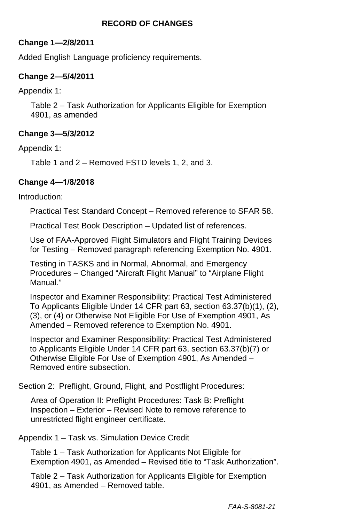#### **RECORD OF CHANGES**

#### **Change 1—2/8/2011**

Added English Language proficiency requirements.

#### **Change 2—5/4/2011**

Appendix 1:

Table 2 – Task Authorization for Applicants Eligible for Exemption 4901, as amended

#### **Change 3—5/3/2012**

Appendix 1:

Table 1 and 2 – Removed FSTD levels 1, 2, and 3.

#### **Change 4—1/8/2018**

Introduction:

Practical Test Standard Concept – Removed reference to SFAR 58.

Practical Test Book Description – Updated list of references.

Use of FAA-Approved Flight Simulators and Flight Training Devices for Testing – Removed paragraph referencing Exemption No. 4901.

Testing in TASKS and in Normal, Abnormal, and Emergency Procedures – Changed "Aircraft Flight Manual" to "Airplane Flight Manual."

Inspector and Examiner Responsibility: Practical Test Administered To Applicants Eligible Under 14 CFR part 63, section 63.37(b)(1), (2), (3), or (4) or Otherwise Not Eligible For Use of Exemption 4901, As Amended – Removed reference to Exemption No. 4901.

Inspector and Examiner Responsibility: Practical Test Administered to Applicants Eligible Under 14 CFR part 63, section 63.37(b)(7) or Otherwise Eligible For Use of Exemption 4901, As Amended – Removed entire subsection.

Section 2: Preflight, Ground, Flight, and Postflight Procedures:

Area of Operation II: Preflight Procedures: Task B: Preflight Inspection – Exterior – Revised Note to remove reference to unrestricted flight engineer certificate.

Appendix 1 – Task vs. Simulation Device Credit

Table 1 – Task Authorization for Applicants Not Eligible for Exemption 4901, as Amended – Revised title to "Task Authorization".

Table 2 – Task Authorization for Applicants Eligible for Exemption 4901, as Amended – Removed table.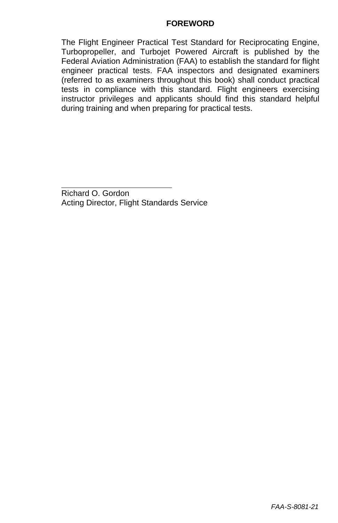#### **FOREWORD**

The Flight Engineer Practical Test Standard for Reciprocating Engine, Turbopropeller, and Turbojet Powered Aircraft is published by the Federal Aviation Administration (FAA) to establish the standard for flight engineer practical tests. FAA inspectors and designated examiners (referred to as examiners throughout this book) shall conduct practical tests in compliance with this standard. Flight engineers exercising instructor privileges and applicants should find this standard helpful during training and when preparing for practical tests.

Richard O. Gordon Acting Director, Flight Standards Service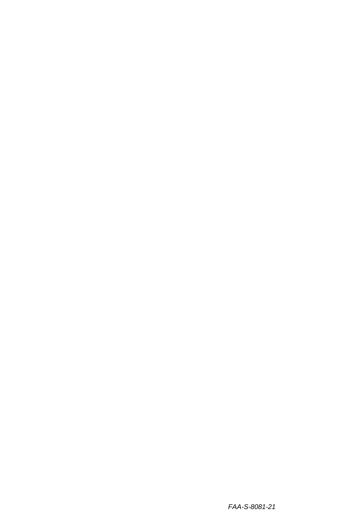*FAA-S-8081-21*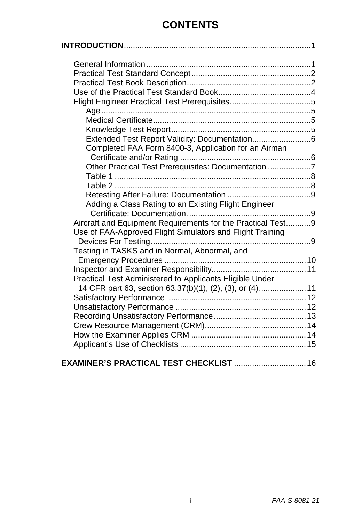# **CONTENTS**

| Extended Test Report Validity: Documentation6               |  |
|-------------------------------------------------------------|--|
| Completed FAA Form 8400-3, Application for an Airman        |  |
|                                                             |  |
| Other Practical Test Prerequisites: Documentation 7         |  |
|                                                             |  |
|                                                             |  |
|                                                             |  |
| Adding a Class Rating to an Existing Flight Engineer        |  |
|                                                             |  |
| Aircraft and Equipment Requirements for the Practical Test9 |  |
| Use of FAA-Approved Flight Simulators and Flight Training   |  |
|                                                             |  |
| Testing in TASKS and in Normal, Abnormal, and               |  |
|                                                             |  |
|                                                             |  |
| Practical Test Administered to Applicants Eligible Under    |  |
| 14 CFR part 63, section 63.37(b)(1), (2), (3), or (4) 11    |  |
|                                                             |  |
|                                                             |  |
|                                                             |  |
|                                                             |  |
|                                                             |  |
|                                                             |  |
|                                                             |  |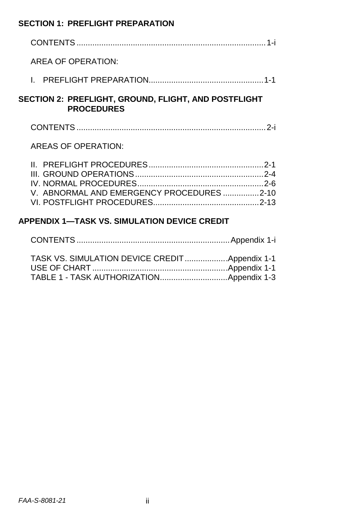## **SECTION 1: PREFLIGHT PREPARATION**

| AREA OF OPERATION:                                                         |  |
|----------------------------------------------------------------------------|--|
|                                                                            |  |
| SECTION 2:  PREFLIGHT. GROUND. FLIGHT. AND POSTFLIGHT<br><b>PROCEDURES</b> |  |
|                                                                            |  |
| AREAS OF OPERATION:                                                        |  |
| V. ABNORMAL AND EMERGENCY PROCEDURES 2-10                                  |  |

## **APPENDIX 1—TASK VS. SIMULATION DEVICE CREDIT**

| TASK VS. SIMULATION DEVICE CREDITAppendix 1-1 |  |
|-----------------------------------------------|--|
|                                               |  |
|                                               |  |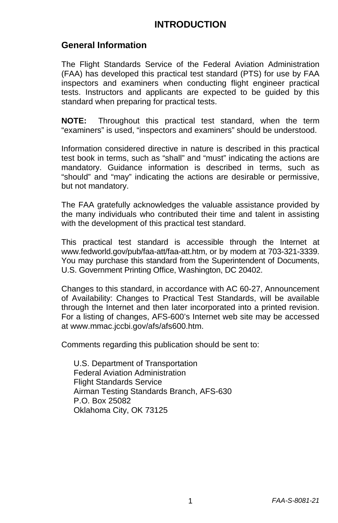## **General Information**

The Flight Standards Service of the Federal Aviation Administration (FAA) has developed this practical test standard (PTS) for use by FAA inspectors and examiners when conducting flight engineer practical tests. Instructors and applicants are expected to be guided by this standard when preparing for practical tests.

**NOTE:** Throughout this practical test standard, when the term "examiners" is used, "inspectors and examiners" should be understood.

Information considered directive in nature is described in this practical test book in terms, such as "shall" and "must" indicating the actions are mandatory. Guidance information is described in terms, such as "should" and "may" indicating the actions are desirable or permissive, but not mandatory.

The FAA gratefully acknowledges the valuable assistance provided by the many individuals who contributed their time and talent in assisting with the development of this practical test standard.

This practical test standard is accessible through the Internet at www.fedworld.gov/pub/faa-att/faa-att.htm, or by modem at 703-321-3339. You may purchase this standard from the Superintendent of Documents, U.S. Government Printing Office, Washington, DC 20402.

Changes to this standard, in accordance with AC 60-27, Announcement of Availability: Changes to Practical Test Standards, will be available through the Internet and then later incorporated into a printed revision. For a listing of changes, AFS-600's Internet web site may be accessed at www.mmac.jccbi.gov/afs/afs600.htm.

Comments regarding this publication should be sent to:

U.S. Department of Transportation Federal Aviation Administration Flight Standards Service Airman Testing Standards Branch, AFS-630 P.O. Box 25082 Oklahoma City, OK 73125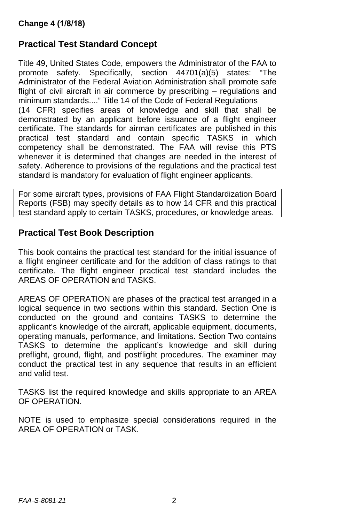## **Practical Test Standard Concept**

Title 49, United States Code, empowers the Administrator of the FAA to promote safety. Specifically, section 44701(a)(5) states: "The Administrator of the Federal Aviation Administration shall promote safe flight of civil aircraft in air commerce by prescribing – regulations and minimum standards...." Title 14 of the Code of Federal Regulations (14 CFR) specifies areas of knowledge and skill that shall be demonstrated by an applicant before issuance of a flight engineer certificate. The standards for airman certificates are published in this practical test standard and contain specific TASKS in which competency shall be demonstrated. The FAA will revise this PTS whenever it is determined that changes are needed in the interest of safety. Adherence to provisions of the regulations and the practical test standard is mandatory for evaluation of flight engineer applicants.

For some aircraft types, provisions of FAA Flight Standardization Board Reports (FSB) may specify details as to how 14 CFR and this practical test standard apply to certain TASKS, procedures, or knowledge areas.

## **Practical Test Book Description**

This book contains the practical test standard for the initial issuance of a flight engineer certificate and for the addition of class ratings to that certificate. The flight engineer practical test standard includes the AREAS OF OPERATION and TASKS.

AREAS OF OPERATION are phases of the practical test arranged in a logical sequence in two sections within this standard. Section One is conducted on the ground and contains TASKS to determine the applicant's knowledge of the aircraft, applicable equipment, documents, operating manuals, performance, and limitations. Section Two contains TASKS to determine the applicant's knowledge and skill during preflight, ground, flight, and postflight procedures. The examiner may conduct the practical test in any sequence that results in an efficient and valid test.

TASKS list the required knowledge and skills appropriate to an AREA OF OPERATION.

NOTE is used to emphasize special considerations required in the AREA OF OPERATION or TASK.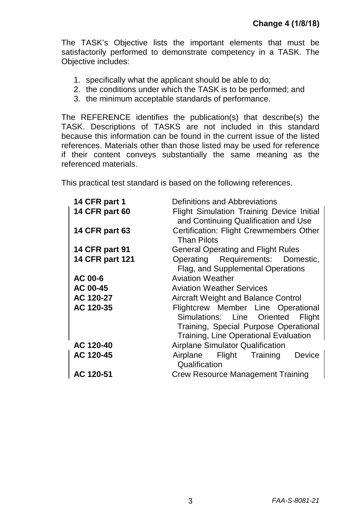The TASK's Objective lists the important elements that must be satisfactorily performed to demonstrate competency in a TASK. The Objective includes:

- 1. specifically what the applicant should be able to do;
- 2. the conditions under which the TASK is to be performed; and
- 3. the minimum acceptable standards of performance.

The REFERENCE identifies the publication(s) that describe(s) the TASK. Descriptions of TASKS are not included in this standard because this information can be found in the current issue of the listed references. Materials other than those listed may be used for reference if their content conveys substantially the same meaning as the referenced materials.

This practical test standard is based on the following references.

| 14 CFR part 1         | Definitions and Abbreviations                                                                                                                                |  |  |  |  |  |  |
|-----------------------|--------------------------------------------------------------------------------------------------------------------------------------------------------------|--|--|--|--|--|--|
| <b>14 CFR part 60</b> | Flight Simulation Training Device Initial<br>and Continuing Qualification and Use                                                                            |  |  |  |  |  |  |
| <b>14 CFR part 63</b> | Certification: Flight Crewmembers Other<br><b>Than Pilots</b>                                                                                                |  |  |  |  |  |  |
| <b>14 CFR part 91</b> | General Operating and Flight Rules                                                                                                                           |  |  |  |  |  |  |
| 14 CFR part 121       | Operating Requirements: Domestic,<br>Flag, and Supplemental Operations                                                                                       |  |  |  |  |  |  |
| AC 00-6               | <b>Aviation Weather</b>                                                                                                                                      |  |  |  |  |  |  |
| AC 00-45              | <b>Aviation Weather Services</b>                                                                                                                             |  |  |  |  |  |  |
| AC 120-27             | Aircraft Weight and Balance Control                                                                                                                          |  |  |  |  |  |  |
| AC 120-35             | Flightcrew Member Line Operational<br>Simulations: Line Oriented<br>Flight<br>Training, Special Purpose Operational<br>Training, Line Operational Evaluation |  |  |  |  |  |  |
| AC 120-40             | Airplane Simulator Qualification                                                                                                                             |  |  |  |  |  |  |
| AC 120-45             | Airplane Flight Training<br>Device<br>Qualification                                                                                                          |  |  |  |  |  |  |
| AC 120-51             | Crew Resource Management Training                                                                                                                            |  |  |  |  |  |  |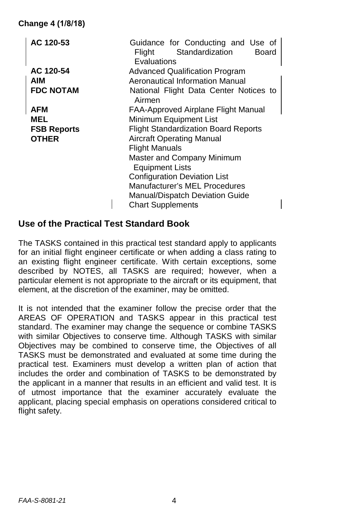#### **Change 4 (1/8/18)**

| AC 120-53          | Guidance for Conducting and Use of<br>Flight Standardization<br><b>Board</b><br>Evaluations |  |  |  |  |
|--------------------|---------------------------------------------------------------------------------------------|--|--|--|--|
| AC 120-54          | <b>Advanced Qualification Program</b>                                                       |  |  |  |  |
| AIM                | Aeronautical Information Manual                                                             |  |  |  |  |
| <b>FDC NOTAM</b>   | National Flight Data Center Notices to<br>Airmen                                            |  |  |  |  |
| AFM                | FAA-Approved Airplane Flight Manual                                                         |  |  |  |  |
| MEL                | Minimum Equipment List                                                                      |  |  |  |  |
| <b>FSB Reports</b> | <b>Flight Standardization Board Reports</b>                                                 |  |  |  |  |
| <b>OTHER</b>       | <b>Aircraft Operating Manual</b>                                                            |  |  |  |  |
|                    | <b>Flight Manuals</b>                                                                       |  |  |  |  |
|                    | Master and Company Minimum<br><b>Equipment Lists</b>                                        |  |  |  |  |
|                    | <b>Configuration Deviation List</b>                                                         |  |  |  |  |
|                    | Manufacturer's MEL Procedures                                                               |  |  |  |  |
|                    | Manual/Dispatch Deviation Guide                                                             |  |  |  |  |
|                    | <b>Chart Supplements</b>                                                                    |  |  |  |  |

## **Use of the Practical Test Standard Book**

The TASKS contained in this practical test standard apply to applicants for an initial flight engineer certificate or when adding a class rating to an existing flight engineer certificate. With certain exceptions, some described by NOTES, all TASKS are required; however, when a particular element is not appropriate to the aircraft or its equipment, that element, at the discretion of the examiner, may be omitted.

It is not intended that the examiner follow the precise order that the AREAS OF OPERATION and TASKS appear in this practical test standard. The examiner may change the sequence or combine TASKS with similar Objectives to conserve time. Although TASKS with similar Objectives may be combined to conserve time, the Objectives of all TASKS must be demonstrated and evaluated at some time during the practical test. Examiners must develop a written plan of action that includes the order and combination of TASKS to be demonstrated by the applicant in a manner that results in an efficient and valid test. It is of utmost importance that the examiner accurately evaluate the applicant, placing special emphasis on operations considered critical to flight safety.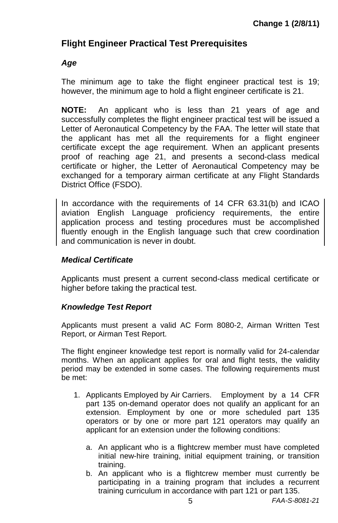## **Flight Engineer Practical Test Prerequisites**

## *Age*

The minimum age to take the flight engineer practical test is 19; however, the minimum age to hold a flight engineer certificate is 21.

**NOTE:** An applicant who is less than 21 years of age and successfully completes the flight engineer practical test will be issued a Letter of Aeronautical Competency by the FAA. The letter will state that the applicant has met all the requirements for a flight engineer certificate except the age requirement. When an applicant presents proof of reaching age 21, and presents a second-class medical certificate or higher, the Letter of Aeronautical Competency may be exchanged for a temporary airman certificate at any Flight Standards District Office (FSDO).

In accordance with the requirements of 14 CFR 63.31(b) and ICAO aviation English Language proficiency requirements, the entire application process and testing procedures must be accomplished fluently enough in the English language such that crew coordination and communication is never in doubt.

### *Medical Certificate*

Applicants must present a current second-class medical certificate or higher before taking the practical test.

### *Knowledge Test Report*

Applicants must present a valid AC Form 8080-2, Airman Written Test Report, or Airman Test Report.

The flight engineer knowledge test report is normally valid for 24-calendar months. When an applicant applies for oral and flight tests, the validity period may be extended in some cases. The following requirements must be met:

- 1. Applicants Employed by Air Carriers. Employment by a 14 CFR part 135 on-demand operator does not qualify an applicant for an extension. Employment by one or more scheduled part 135 operators or by one or more part 121 operators may qualify an applicant for an extension under the following conditions:
	- a. An applicant who is a flightcrew member must have completed initial new-hire training, initial equipment training, or transition training.
	- b. An applicant who is a flightcrew member must currently be participating in a training program that includes a recurrent training curriculum in accordance with part 121 or part 135.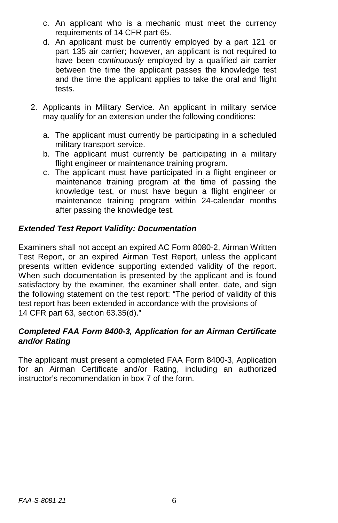- c. An applicant who is a mechanic must meet the currency requirements of 14 CFR part 65.
- d. An applicant must be currently employed by a part 121 or part 135 air carrier; however, an applicant is not required to have been *continuously* employed by a qualified air carrier between the time the applicant passes the knowledge test and the time the applicant applies to take the oral and flight tests.
- 2. Applicants in Military Service. An applicant in military service may qualify for an extension under the following conditions:
	- a. The applicant must currently be participating in a scheduled military transport service.
	- b. The applicant must currently be participating in a military flight engineer or maintenance training program.
	- c. The applicant must have participated in a flight engineer or maintenance training program at the time of passing the knowledge test, or must have begun a flight engineer or maintenance training program within 24-calendar months after passing the knowledge test.

## *Extended Test Report Validity: Documentation*

Examiners shall not accept an expired AC Form 8080-2, Airman Written Test Report, or an expired Airman Test Report, unless the applicant presents written evidence supporting extended validity of the report. When such documentation is presented by the applicant and is found satisfactory by the examiner, the examiner shall enter, date, and sign the following statement on the test report: "The period of validity of this test report has been extended in accordance with the provisions of 14 CFR part 63, section 63.35(d)."

### *Completed FAA Form 8400-3, Application for an Airman Certificate and/or Rating*

The applicant must present a completed FAA Form 8400-3, Application for an Airman Certificate and/or Rating, including an authorized instructor's recommendation in box 7 of the form.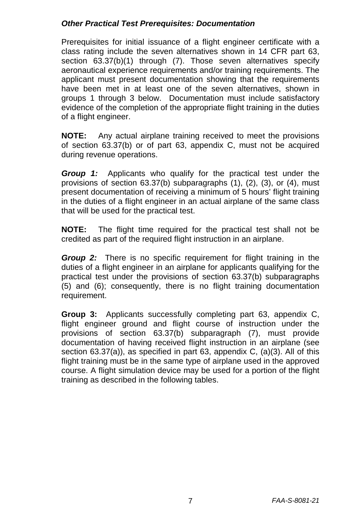### *Other Practical Test Prerequisites: Documentation*

Prerequisites for initial issuance of a flight engineer certificate with a class rating include the seven alternatives shown in 14 CFR part 63, section 63.37(b)(1) through (7). Those seven alternatives specify aeronautical experience requirements and/or training requirements. The applicant must present documentation showing that the requirements have been met in at least one of the seven alternatives, shown in groups 1 through 3 below. Documentation must include satisfactory evidence of the completion of the appropriate flight training in the duties of a flight engineer.

**NOTE:** Any actual airplane training received to meet the provisions of section 63.37(b) or of part 63, appendix C, must not be acquired during revenue operations.

*Group 1:* Applicants who qualify for the practical test under the provisions of section 63.37(b) subparagraphs (1), (2), (3), or (4), must present documentation of receiving a minimum of 5 hours' flight training in the duties of a flight engineer in an actual airplane of the same class that will be used for the practical test.

**NOTE:** The flight time required for the practical test shall not be credited as part of the required flight instruction in an airplane.

*Group 2:* There is no specific requirement for flight training in the duties of a flight engineer in an airplane for applicants qualifying for the practical test under the provisions of section 63.37(b) subparagraphs (5) and (6); consequently, there is no flight training documentation requirement.

**Group 3:** Applicants successfully completing part 63, appendix C, flight engineer ground and flight course of instruction under the provisions of section 63.37(b) subparagraph (7), must provide documentation of having received flight instruction in an airplane (see section 63.37(a)), as specified in part 63, appendix C, (a)(3). All of this flight training must be in the same type of airplane used in the approved course. A flight simulation device may be used for a portion of the flight training as described in the following tables.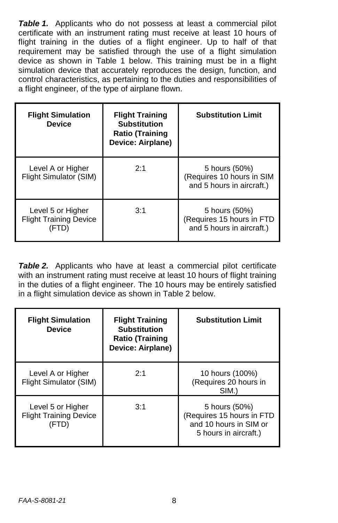**Table 1.** Applicants who do not possess at least a commercial pilot certificate with an instrument rating must receive at least 10 hours of flight training in the duties of a flight engineer. Up to half of that requirement may be satisfied through the use of a flight simulation device as shown in Table 1 below. This training must be in a flight simulation device that accurately reproduces the design, function, and control characteristics, as pertaining to the duties and responsibilities of a flight engineer, of the type of airplane flown.

| <b>Flight Simulation</b><br><b>Device</b>          | <b>Flight Training</b><br><b>Substitution</b><br><b>Ratio (Training</b><br>Device: Airplane) | <b>Substitution Limit</b>                                               |
|----------------------------------------------------|----------------------------------------------------------------------------------------------|-------------------------------------------------------------------------|
| Level A or Higher<br>Flight Simulator (SIM)        | 2:1                                                                                          | 5 hours (50%)<br>(Requires 10 hours in SIM<br>and 5 hours in aircraft.) |
| Level 5 or Higher<br><b>Flight Training Device</b> | 3:1                                                                                          | 5 hours (50%)<br>(Requires 15 hours in FTD<br>and 5 hours in aircraft.) |

*Table 2.* Applicants who have at least a commercial pilot certificate with an instrument rating must receive at least 10 hours of flight training in the duties of a flight engineer. The 10 hours may be entirely satisfied in a flight simulation device as shown in Table 2 below.

| <b>Flight Simulation</b><br><b>Device</b>                   | <b>Flight Training</b><br>Substitution<br><b>Ratio (Training</b><br>Device: Airplane) | <b>Substitution Limit</b>                                                                     |
|-------------------------------------------------------------|---------------------------------------------------------------------------------------|-----------------------------------------------------------------------------------------------|
| Level A or Higher<br>Flight Simulator (SIM)                 | 2:1                                                                                   | 10 hours (100%)<br>(Requires 20 hours in<br>SIM.)                                             |
| Level 5 or Higher<br><b>Flight Training Device</b><br>(FTD) | 3:1                                                                                   | 5 hours (50%)<br>(Requires 15 hours in FTD<br>and 10 hours in SIM or<br>5 hours in aircraft.) |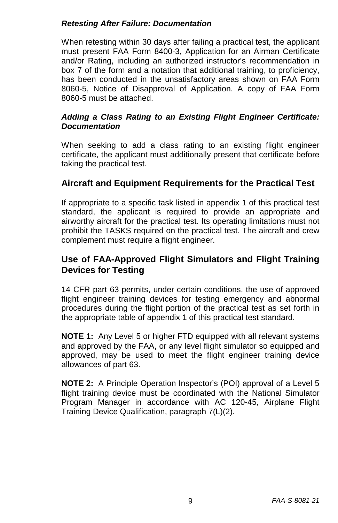### *Retesting After Failure: Documentation*

When retesting within 30 days after failing a practical test, the applicant must present FAA Form 8400-3, Application for an Airman Certificate and/or Rating, including an authorized instructor's recommendation in box 7 of the form and a notation that additional training, to proficiency, has been conducted in the unsatisfactory areas shown on FAA Form 8060-5, Notice of Disapproval of Application. A copy of FAA Form 8060-5 must be attached.

## *Adding a Class Rating to an Existing Flight Engineer Certificate: Documentation*

When seeking to add a class rating to an existing flight engineer certificate, the applicant must additionally present that certificate before taking the practical test.

## **Aircraft and Equipment Requirements for the Practical Test**

If appropriate to a specific task listed in appendix 1 of this practical test standard, the applicant is required to provide an appropriate and airworthy aircraft for the practical test. Its operating limitations must not prohibit the TASKS required on the practical test. The aircraft and crew complement must require a flight engineer.

## **Use of FAA-Approved Flight Simulators and Flight Training Devices for Testing**

14 CFR part 63 permits, under certain conditions, the use of approved flight engineer training devices for testing emergency and abnormal procedures during the flight portion of the practical test as set forth in the appropriate table of appendix 1 of this practical test standard.

**NOTE 1:** Any Level 5 or higher FTD equipped with all relevant systems and approved by the FAA, or any level flight simulator so equipped and approved, may be used to meet the flight engineer training device allowances of part 63.

**NOTE 2:** A Principle Operation Inspector's (POI) approval of a Level 5 flight training device must be coordinated with the National Simulator Program Manager in accordance with AC 120-45, Airplane Flight Training Device Qualification, paragraph 7(L)(2).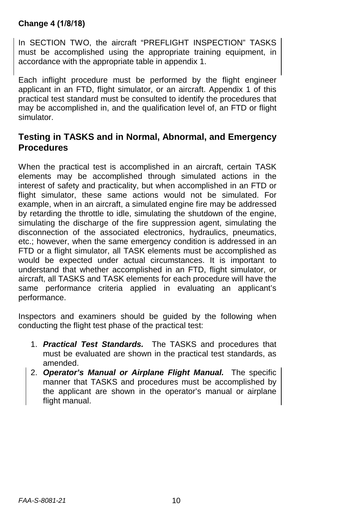### **Change 4 (1/8/18)**

In SECTION TWO, the aircraft "PREFLIGHT INSPECTION" TASKS must be accomplished using the appropriate training equipment, in accordance with the appropriate table in appendix 1.

Each inflight procedure must be performed by the flight engineer applicant in an FTD, flight simulator, or an aircraft. Appendix 1 of this practical test standard must be consulted to identify the procedures that may be accomplished in, and the qualification level of, an FTD or flight simulator.

## **Testing in TASKS and in Normal, Abnormal, and Emergency Procedures**

When the practical test is accomplished in an aircraft, certain TASK elements may be accomplished through simulated actions in the interest of safety and practicality, but when accomplished in an FTD or flight simulator, these same actions would not be simulated. For example, when in an aircraft, a simulated engine fire may be addressed by retarding the throttle to idle, simulating the shutdown of the engine, simulating the discharge of the fire suppression agent, simulating the disconnection of the associated electronics, hydraulics, pneumatics, etc.; however, when the same emergency condition is addressed in an FTD or a flight simulator, all TASK elements must be accomplished as would be expected under actual circumstances. It is important to understand that whether accomplished in an FTD, flight simulator, or aircraft, all TASKS and TASK elements for each procedure will have the same performance criteria applied in evaluating an applicant's performance.

Inspectors and examiners should be guided by the following when conducting the flight test phase of the practical test:

- 1. *Practical Test Standards.* The TASKS and procedures that must be evaluated are shown in the practical test standards, as amended.
- 2. *Operator's Manual or Airplane Flight Manual.*The specific manner that TASKS and procedures must be accomplished by the applicant are shown in the operator's manual or airplane flight manual.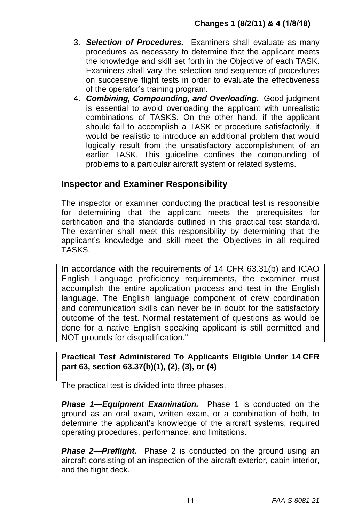- 3. *Selection of Procedures.* Examiners shall evaluate as many procedures as necessary to determine that the applicant meets the knowledge and skill set forth in the Objective of each TASK. Examiners shall vary the selection and sequence of procedures on successive flight tests in order to evaluate the effectiveness of the operator's training program.
- 4. *Combining, Compounding, and Overloading.* Good judgment is essential to avoid overloading the applicant with unrealistic combinations of TASKS. On the other hand, if the applicant should fail to accomplish a TASK or procedure satisfactorily, it would be realistic to introduce an additional problem that would logically result from the unsatisfactory accomplishment of an earlier TASK. This guideline confines the compounding of problems to a particular aircraft system or related systems.

## **Inspector and Examiner Responsibility**

The inspector or examiner conducting the practical test is responsible for determining that the applicant meets the prerequisites for certification and the standards outlined in this practical test standard. The examiner shall meet this responsibility by determining that the applicant's knowledge and skill meet the Objectives in all required TASKS.

In accordance with the requirements of 14 CFR 63.31(b) and ICAO English Language proficiency requirements, the examiner must accomplish the entire application process and test in the English language. The English language component of crew coordination and communication skills can never be in doubt for the satisfactory outcome of the test. Normal restatement of questions as would be done for a native English speaking applicant is still permitted and NOT grounds for disqualification."

## **Practical Test Administered To Applicants Eligible Under 14 CFR part 63, section 63.37(b)(1), (2), (3), or (4)**

The practical test is divided into three phases.

**Phase 1—Equipment Examination.** Phase 1 is conducted on the ground as an oral exam, written exam, or a combination of both, to determine the applicant's knowledge of the aircraft systems, required operating procedures, performance, and limitations.

**Phase 2—Preflight.** Phase 2 is conducted on the ground using an aircraft consisting of an inspection of the aircraft exterior, cabin interior, and the flight deck.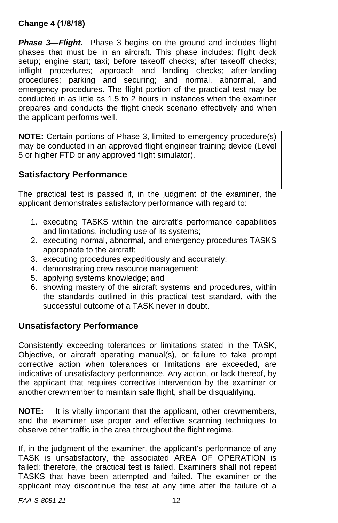### **Change 4 (1/8/18)**

**Phase 3—Flight.** Phase 3 begins on the ground and includes flight phases that must be in an aircraft. This phase includes: flight deck setup; engine start; taxi; before takeoff checks; after takeoff checks; inflight procedures; approach and landing checks; after-landing procedures; parking and securing; and normal, abnormal, and emergency procedures. The flight portion of the practical test may be conducted in as little as 1.5 to 2 hours in instances when the examiner prepares and conducts the flight check scenario effectively and when the applicant performs well.

**NOTE:** Certain portions of Phase 3, limited to emergency procedure(s) may be conducted in an approved flight engineer training device (Level 5 or higher FTD or any approved flight simulator).

## **Satisfactory Performance**

The practical test is passed if, in the judgment of the examiner, the applicant demonstrates satisfactory performance with regard to:

- 1. executing TASKS within the aircraft's performance capabilities and limitations, including use of its systems;
- 2. executing normal, abnormal, and emergency procedures TASKS appropriate to the aircraft;
- 3. executing procedures expeditiously and accurately;
- 4. demonstrating crew resource management;
- 5. applying systems knowledge; and
- 6. showing mastery of the aircraft systems and procedures, within the standards outlined in this practical test standard, with the successful outcome of a TASK never in doubt.

## **Unsatisfactory Performance**

Consistently exceeding tolerances or limitations stated in the TASK, Objective, or aircraft operating manual(s), or failure to take prompt corrective action when tolerances or limitations are exceeded, are indicative of unsatisfactory performance. Any action, or lack thereof, by the applicant that requires corrective intervention by the examiner or another crewmember to maintain safe flight, shall be disqualifying.

**NOTE:** It is vitally important that the applicant, other crewmembers, and the examiner use proper and effective scanning techniques to observe other traffic in the area throughout the flight regime.

If, in the judgment of the examiner, the applicant's performance of any TASK is unsatisfactory, the associated AREA OF OPERATION is failed; therefore, the practical test is failed. Examiners shall not repeat TASKS that have been attempted and failed. The examiner or the applicant may discontinue the test at any time after the failure of a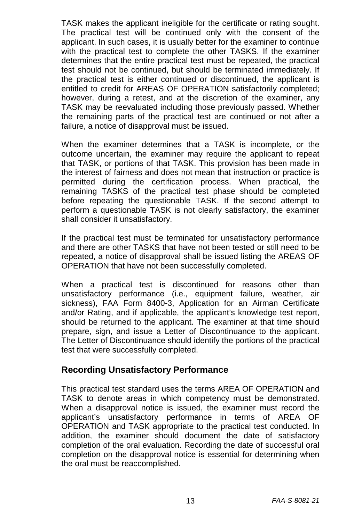TASK makes the applicant ineligible for the certificate or rating sought. The practical test will be continued only with the consent of the applicant. In such cases, it is usually better for the examiner to continue with the practical test to complete the other TASKS. If the examiner determines that the entire practical test must be repeated, the practical test should not be continued, but should be terminated immediately. If the practical test is either continued or discontinued, the applicant is entitled to credit for AREAS OF OPERATION satisfactorily completed; however, during a retest, and at the discretion of the examiner, any TASK may be reevaluated including those previously passed. Whether the remaining parts of the practical test are continued or not after a failure, a notice of disapproval must be issued.

When the examiner determines that a TASK is incomplete, or the outcome uncertain, the examiner may require the applicant to repeat that TASK, or portions of that TASK. This provision has been made in the interest of fairness and does not mean that instruction or practice is permitted during the certification process. When practical, the remaining TASKS of the practical test phase should be completed before repeating the questionable TASK. If the second attempt to perform a questionable TASK is not clearly satisfactory, the examiner shall consider it unsatisfactory.

If the practical test must be terminated for unsatisfactory performance and there are other TASKS that have not been tested or still need to be repeated, a notice of disapproval shall be issued listing the AREAS OF OPERATION that have not been successfully completed.

When a practical test is discontinued for reasons other than unsatisfactory performance (i.e., equipment failure, weather, air sickness), FAA Form 8400-3, Application for an Airman Certificate and/or Rating, and if applicable, the applicant's knowledge test report, should be returned to the applicant. The examiner at that time should prepare, sign, and issue a Letter of Discontinuance to the applicant. The Letter of Discontinuance should identify the portions of the practical test that were successfully completed.

## **Recording Unsatisfactory Performance**

This practical test standard uses the terms AREA OF OPERATION and TASK to denote areas in which competency must be demonstrated. When a disapproval notice is issued, the examiner must record the applicant's unsatisfactory performance in terms of AREA OF OPERATION and TASK appropriate to the practical test conducted. In addition, the examiner should document the date of satisfactory completion of the oral evaluation. Recording the date of successful oral completion on the disapproval notice is essential for determining when the oral must be reaccomplished.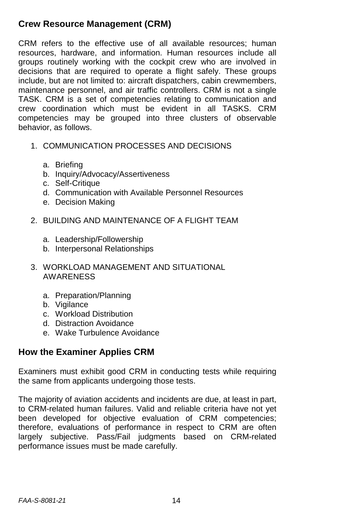## **Crew Resource Management (CRM)**

CRM refers to the effective use of all available resources; human resources, hardware, and information. Human resources include all groups routinely working with the cockpit crew who are involved in decisions that are required to operate a flight safely. These groups include, but are not limited to: aircraft dispatchers, cabin crewmembers, maintenance personnel, and air traffic controllers. CRM is not a single TASK. CRM is a set of competencies relating to communication and crew coordination which must be evident in all TASKS. CRM competencies may be grouped into three clusters of observable behavior, as follows.

- 1. COMMUNICATION PROCESSES AND DECISIONS
	- a. Briefing
	- b. Inquiry/Advocacy/Assertiveness
	- c. Self-Critique
	- d. Communication with Available Personnel Resources
	- e. Decision Making
- 2. BUILDING AND MAINTENANCE OF A FLIGHT TEAM
	- a. Leadership/Followership
	- b. Interpersonal Relationships
- 3. WORKLOAD MANAGEMENT AND SITUATIONAL AWARENESS
	- a. Preparation/Planning
	- b. Vigilance
	- c. Workload Distribution
	- d. Distraction Avoidance
	- e. Wake Turbulence Avoidance

## **How the Examiner Applies CRM**

Examiners must exhibit good CRM in conducting tests while requiring the same from applicants undergoing those tests.

The majority of aviation accidents and incidents are due, at least in part, to CRM-related human failures. Valid and reliable criteria have not yet been developed for objective evaluation of CRM competencies; therefore, evaluations of performance in respect to CRM are often largely subjective. Pass/Fail judgments based on CRM-related performance issues must be made carefully.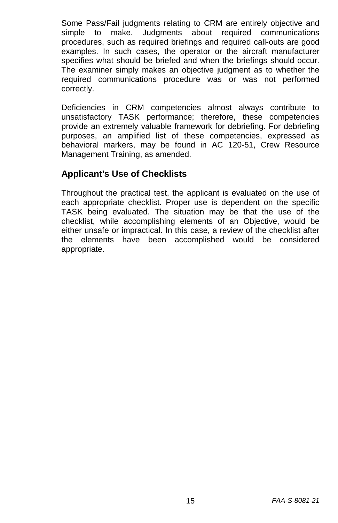Some Pass/Fail judgments relating to CRM are entirely objective and simple to make. Judgments about required communications procedures, such as required briefings and required call-outs are good examples. In such cases, the operator or the aircraft manufacturer specifies what should be briefed and when the briefings should occur. The examiner simply makes an objective judgment as to whether the required communications procedure was or was not performed correctly.

Deficiencies in CRM competencies almost always contribute to unsatisfactory TASK performance; therefore, these competencies provide an extremely valuable framework for debriefing. For debriefing purposes, an amplified list of these competencies, expressed as behavioral markers, may be found in AC 120-51, Crew Resource Management Training, as amended.

## **Applicant's Use of Checklists**

Throughout the practical test, the applicant is evaluated on the use of each appropriate checklist. Proper use is dependent on the specific TASK being evaluated. The situation may be that the use of the checklist, while accomplishing elements of an Objective, would be either unsafe or impractical. In this case, a review of the checklist after the elements have been accomplished would be considered appropriate.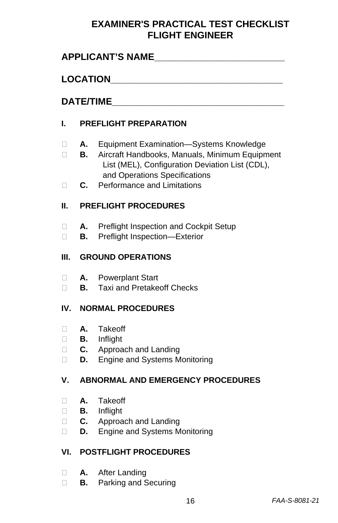## **EXAMINER'S PRACTICAL TEST CHECKLIST FLIGHT ENGINEER**

|                  | <b>APPLICANT'S NAME</b>          |                                                                                                                                                                               |  |  |  |  |  |
|------------------|----------------------------------|-------------------------------------------------------------------------------------------------------------------------------------------------------------------------------|--|--|--|--|--|
|                  |                                  |                                                                                                                                                                               |  |  |  |  |  |
|                  | <b>DATE/TIME</b>                 |                                                                                                                                                                               |  |  |  |  |  |
| ı.               | <b>PREFLIGHT PREPARATION</b>     |                                                                                                                                                                               |  |  |  |  |  |
| П<br>П           | А.<br><b>B.</b>                  | Equipment Examination-Systems Knowledge<br>Aircraft Handbooks, Manuals, Minimum Equipment<br>List (MEL), Configuration Deviation List (CDL),<br>and Operations Specifications |  |  |  |  |  |
| П                | C.                               | Performance and Limitations                                                                                                                                                   |  |  |  |  |  |
| Н.               |                                  | <b>PREFLIGHT PROCEDURES</b>                                                                                                                                                   |  |  |  |  |  |
| П<br>П           | А.<br>В.                         | Preflight Inspection and Cockpit Setup<br>Preflight Inspection-Exterior                                                                                                       |  |  |  |  |  |
| III.             | <b>GROUND OPERATIONS</b>         |                                                                                                                                                                               |  |  |  |  |  |
| п<br>П           | А.<br>В.                         | <b>Powerplant Start</b><br><b>Taxi and Pretakeoff Checks</b>                                                                                                                  |  |  |  |  |  |
| IV.              |                                  | <b>NORMAL PROCEDURES</b>                                                                                                                                                      |  |  |  |  |  |
| П<br>П<br>П<br>П | А.<br>В.<br>C.<br>D.             | Takeoff<br>Inflight<br>Approach and Landing<br><b>Engine and Systems Monitoring</b>                                                                                           |  |  |  |  |  |
| ۷.               |                                  | <b>ABNORMAL AND EMERGENCY PROCEDURES</b>                                                                                                                                      |  |  |  |  |  |
| П<br>П<br>п<br>□ | А.<br>В.<br>$\mathbf{C}$ .<br>D. | Takeoff<br>Inflight<br>Approach and Landing<br><b>Engine and Systems Monitoring</b>                                                                                           |  |  |  |  |  |
| VI.              |                                  | <b>POSTFLIGHT PROCEDURES</b>                                                                                                                                                  |  |  |  |  |  |

- **A.** After Landing
- **B.** Parking and Securing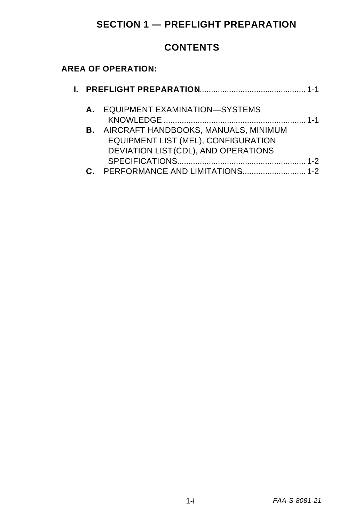## **SECTION 1 — PREFLIGHT PREPARATION**

## **CONTENTS**

## **AREA OF OPERATION:**

|  | A. EQUIPMENT EXAMINATION-SYSTEMS               |  |
|--|------------------------------------------------|--|
|  |                                                |  |
|  | <b>B.</b> AIRCRAFT HANDBOOKS, MANUALS, MINIMUM |  |
|  | EQUIPMENT LIST (MEL), CONFIGURATION            |  |
|  | DEVIATION LIST (CDL), AND OPERATIONS           |  |
|  |                                                |  |
|  |                                                |  |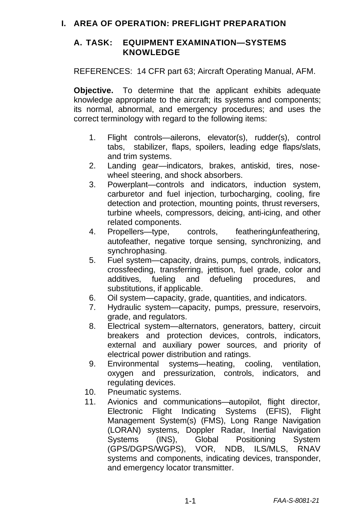### **I. AREA OF OPERATION: PREFLIGHT PREPARATION**

### **A. TASK: EQUIPMENT EXAMINATION—SYSTEMS KNOWLEDGE**

REFERENCES: 14 CFR part 63; Aircraft Operating Manual, AFM.

**Objective.** To determine that the applicant exhibits adequate knowledge appropriate to the aircraft; its systems and components; its normal, abnormal, and emergency procedures; and uses the correct terminology with regard to the following items:

- 1. Flight controls—ailerons, elevator(s), rudder(s), control tabs, stabilizer, flaps, spoilers, leading edge flaps/slats, and trim systems.
- 2. Landing gear—indicators, brakes, antiskid, tires, nosewheel steering, and shock absorbers.
- 3. Powerplant—controls and indicators, induction system, carburetor and fuel injection, turbocharging, cooling, fire detection and protection, mounting points, thrust reversers, turbine wheels, compressors, deicing, anti-icing, and other related components.
- 4. Propellers—type, controls, feathering/unfeathering, autofeather, negative torque sensing, synchronizing, and synchrophasing.
- 5. Fuel system—capacity, drains, pumps, controls, indicators, crossfeeding, transferring, jettison, fuel grade, color and additives, fueling and defueling procedures, and substitutions, if applicable.
- 6. Oil system—capacity, grade, quantities, and indicators.
- 7. Hydraulic system—capacity, pumps, pressure, reservoirs, grade, and regulators.
- 8. Electrical system—alternators, generators, battery, circuit breakers and protection devices, controls, indicators, external and auxiliary power sources, and priority of electrical power distribution and ratings.
- 9. Environmental systems—heating, cooling, ventilation, oxygen and pressurization, controls, indicators, and regulating devices.
- 10. Pneumatic systems.
- 11. Avionics and communications—autopilot, flight director, Electronic Flight Indicating Systems (EFIS), Flight Management System(s) (FMS), Long Range Navigation (LORAN) systems, Doppler Radar, Inertial Navigation Systems (INS), Global Positioning System (GPS/DGPS/WGPS), VOR, NDB, ILS/MLS, RNAV systems and components, indicating devices, transponder, and emergency locator transmitter.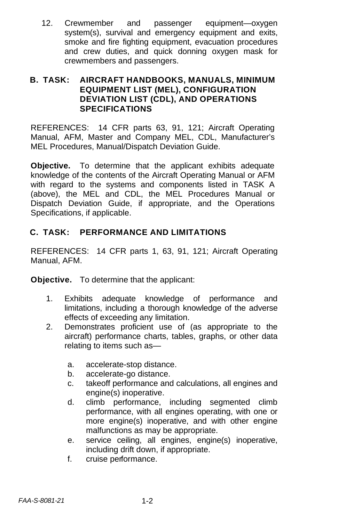12. Crewmember and passenger equipment—oxygen system(s), survival and emergency equipment and exits, smoke and fire fighting equipment, evacuation procedures and crew duties, and quick donning oxygen mask for crewmembers and passengers.

#### **B. TASK: AIRCRAFT HANDBOOKS, MANUALS, MINIMUM EQUIPMENT LIST (MEL), CONFIGURATION DEVIATION LIST (CDL), AND OPERATIONS SPECIFICATIONS**

REFERENCES: 14 CFR parts 63, 91, 121; Aircraft Operating Manual, AFM, Master and Company MEL, CDL, Manufacturer's MEL Procedures, Manual/Dispatch Deviation Guide.

**Objective.** To determine that the applicant exhibits adequate knowledge of the contents of the Aircraft Operating Manual or AFM with regard to the systems and components listed in TASK A (above), the MEL and CDL, the MEL Procedures Manual or Dispatch Deviation Guide, if appropriate, and the Operations Specifications, if applicable.

## **C. TASK: PERFORMANCE AND LIMITATIONS**

REFERENCES: 14 CFR parts 1, 63, 91, 121; Aircraft Operating Manual, AFM.

**Objective.** To determine that the applicant:

- 1. Exhibits adequate knowledge of performance and limitations, including a thorough knowledge of the adverse effects of exceeding any limitation.
- 2. Demonstrates proficient use of (as appropriate to the aircraft) performance charts, tables, graphs, or other data relating to items such as
	- a. accelerate-stop distance.
	- b. accelerate-go distance.
	- c. takeoff performance and calculations, all engines and engine(s) inoperative.
	- d. climb performance, including segmented climb performance, with all engines operating, with one or more engine(s) inoperative, and with other engine malfunctions as may be appropriate.
	- e. service ceiling, all engines, engine(s) inoperative, including drift down, if appropriate.
	- f. cruise performance.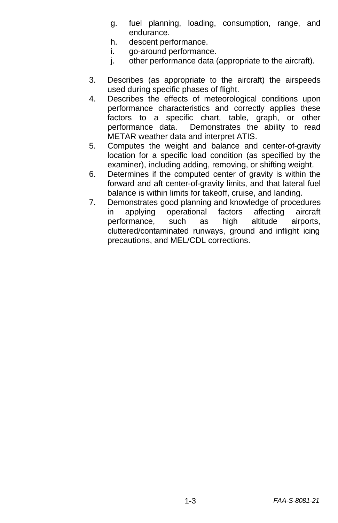- g. fuel planning, loading, consumption, range, and endurance.
- h. descent performance.
- i. go-around performance.
- j. other performance data (appropriate to the aircraft).
- 3. Describes (as appropriate to the aircraft) the airspeeds used during specific phases of flight.
- 4. Describes the effects of meteorological conditions upon performance characteristics and correctly applies these factors to a specific chart, table, graph, or other performance data. Demonstrates the ability to read METAR weather data and interpret ATIS.
- 5. Computes the weight and balance and center-of-gravity location for a specific load condition (as specified by the examiner), including adding, removing, or shifting weight.
- 6. Determines if the computed center of gravity is within the forward and aft center-of-gravity limits, and that lateral fuel balance is within limits for takeoff, cruise, and landing.
- 7. Demonstrates good planning and knowledge of procedures in applying operational factors affecting aircraft performance, such as high altitude airports, cluttered/contaminated runways, ground and inflight icing precautions, and MEL/CDL corrections.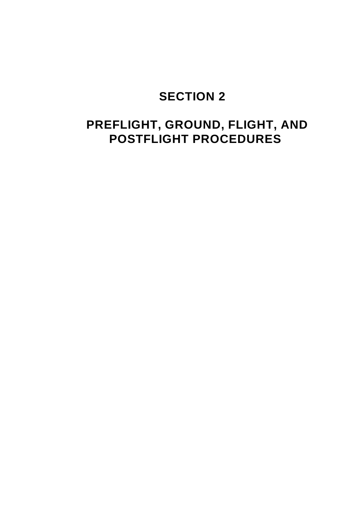# **SECTION 2**

# **PREFLIGHT, GROUND, FLIGHT, AND POSTFLIGHT PROCEDURES**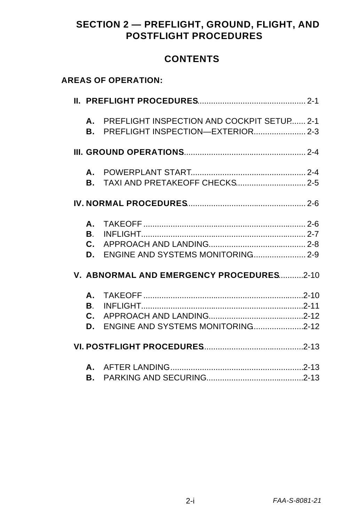## **SECTION 2 — PREFLIGHT, GROUND, FLIGHT, AND POSTFLIGHT PROCEDURES**

## **CONTENTS**

|                                  | <b>AREAS OF OPERATION:</b>                    |  |
|----------------------------------|-----------------------------------------------|--|
|                                  |                                               |  |
| <b>B.</b>                        | A. PREFLIGHT INSPECTION AND COCKPIT SETUP 2-1 |  |
|                                  |                                               |  |
| R.                               |                                               |  |
|                                  |                                               |  |
| A.<br>B.<br>$\mathbf{C}$ .<br>D. |                                               |  |
|                                  | V. ABNORMAL AND EMERGENCY PROCEDURES2-10      |  |
| А.<br>B.<br>$\mathbf{C}$ .<br>D. | ENGINE AND SYSTEMS MONITORING2-12             |  |
|                                  |                                               |  |
|                                  |                                               |  |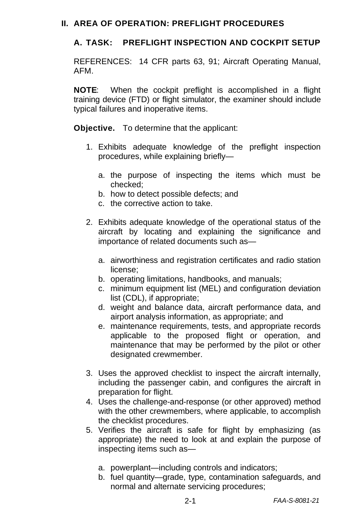## **II. AREA OF OPERATION: PREFLIGHT PROCEDURES**

## **A. TASK: PREFLIGHT INSPECTION AND COCKPIT SETUP**

REFERENCES: 14 CFR parts 63, 91; Aircraft Operating Manual, AFM.

**NOTE**: When the cockpit preflight is accomplished in a flight training device (FTD) or flight simulator, the examiner should include typical failures and inoperative items.

**Objective.** To determine that the applicant:

- 1. Exhibits adequate knowledge of the preflight inspection procedures, while explaining briefly
	- a. the purpose of inspecting the items which must be checked;
	- b. how to detect possible defects; and
	- c. the corrective action to take.
- 2. Exhibits adequate knowledge of the operational status of the aircraft by locating and explaining the significance and importance of related documents such as
	- a. airworthiness and registration certificates and radio station license;
	- b. operating limitations, handbooks, and manuals;
	- c. minimum equipment list (MEL) and configuration deviation list (CDL), if appropriate;
	- d. weight and balance data, aircraft performance data, and airport analysis information, as appropriate; and
	- e. maintenance requirements, tests, and appropriate records applicable to the proposed flight or operation, and maintenance that may be performed by the pilot or other designated crewmember.
- 3. Uses the approved checklist to inspect the aircraft internally, including the passenger cabin, and configures the aircraft in preparation for flight.
- 4. Uses the challenge-and-response (or other approved) method with the other crewmembers, where applicable, to accomplish the checklist procedures.
- 5. Verifies the aircraft is safe for flight by emphasizing (as appropriate) the need to look at and explain the purpose of inspecting items such as
	- a. powerplant—including controls and indicators;
	- b. fuel quantity—grade, type, contamination safeguards, and normal and alternate servicing procedures;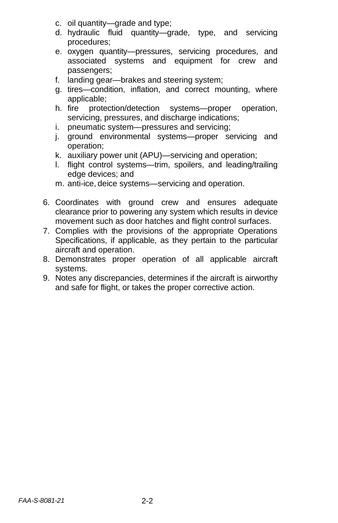- c. oil quantity—grade and type;
- d. hydraulic fluid quantity—grade, type, and servicing procedures;
- e. oxygen quantity—pressures, servicing procedures, and associated systems and equipment for crew and passengers;
- f. landing gear—brakes and steering system;
- g. tires—condition, inflation, and correct mounting, where applicable;
- h. fire protection/detection systems—proper operation, servicing, pressures, and discharge indications;
- i. pneumatic system—pressures and servicing;
- j. ground environmental systems—proper servicing and operation;
- k. auxiliary power unit (APU)—servicing and operation;
- l. flight control systems—trim, spoilers, and leading/trailing edge devices; and
- m. anti-ice, deice systems—servicing and operation.
- 6. Coordinates with ground crew and ensures adequate clearance prior to powering any system which results in device movement such as door hatches and flight control surfaces.
- 7. Complies with the provisions of the appropriate Operations Specifications, if applicable, as they pertain to the particular aircraft and operation.
- 8. Demonstrates proper operation of all applicable aircraft systems.
- 9. Notes any discrepancies, determines if the aircraft is airworthy and safe for flight, or takes the proper corrective action.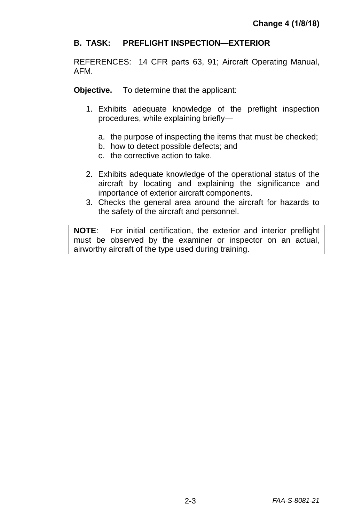## **B. TASK: PREFLIGHT INSPECTION—EXTERIOR**

REFERENCES: 14 CFR parts 63, 91; Aircraft Operating Manual, AFM.

**Objective.** To determine that the applicant:

- 1. Exhibits adequate knowledge of the preflight inspection procedures, while explaining briefly
	- a. the purpose of inspecting the items that must be checked;
	- b. how to detect possible defects; and
	- c. the corrective action to take.
- 2. Exhibits adequate knowledge of the operational status of the aircraft by locating and explaining the significance and importance of exterior aircraft components.
- 3. Checks the general area around the aircraft for hazards to the safety of the aircraft and personnel.

**NOTE**: For initial certification, the exterior and interior preflight must be observed by the examiner or inspector on an actual, airworthy aircraft of the type used during training.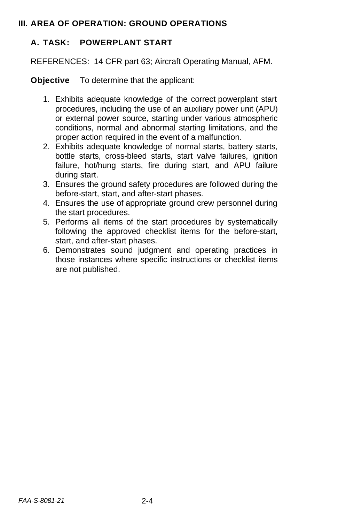## **III. AREA OF OPERATION: GROUND OPERATIONS**

## **A. TASK: POWERPLANT START**

REFERENCES: 14 CFR part 63; Aircraft Operating Manual, AFM.

**Objective** To determine that the applicant:

- 1. Exhibits adequate knowledge of the correct powerplant start procedures, including the use of an auxiliary power unit (APU) or external power source, starting under various atmospheric conditions, normal and abnormal starting limitations, and the proper action required in the event of a malfunction.
- 2. Exhibits adequate knowledge of normal starts, battery starts, bottle starts, cross-bleed starts, start valve failures, ignition failure, hot/hung starts, fire during start, and APU failure during start.
- 3. Ensures the ground safety procedures are followed during the before-start, start, and after-start phases.
- 4. Ensures the use of appropriate ground crew personnel during the start procedures.
- 5. Performs all items of the start procedures by systematically following the approved checklist items for the before-start, start, and after-start phases.
- 6. Demonstrates sound judgment and operating practices in those instances where specific instructions or checklist items are not published.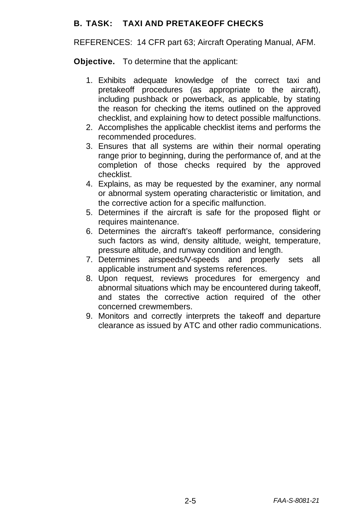## **B. TASK: TAXI AND PRETAKEOFF CHECKS**

REFERENCES: 14 CFR part 63; Aircraft Operating Manual, AFM.

**Objective.** To determine that the applicant:

- 1. Exhibits adequate knowledge of the correct taxi and pretakeoff procedures (as appropriate to the aircraft), including pushback or powerback, as applicable, by stating the reason for checking the items outlined on the approved checklist, and explaining how to detect possible malfunctions.
- 2. Accomplishes the applicable checklist items and performs the recommended procedures.
- 3. Ensures that all systems are within their normal operating range prior to beginning, during the performance of, and at the completion of those checks required by the approved checklist.
- 4. Explains, as may be requested by the examiner, any normal or abnormal system operating characteristic or limitation, and the corrective action for a specific malfunction.
- 5. Determines if the aircraft is safe for the proposed flight or requires maintenance.
- 6. Determines the aircraft's takeoff performance, considering such factors as wind, density altitude, weight, temperature, pressure altitude, and runway condition and length.
- 7. Determines airspeeds/V-speeds and properly sets all applicable instrument and systems references.
- 8. Upon request, reviews procedures for emergency and abnormal situations which may be encountered during takeoff, and states the corrective action required of the other concerned crewmembers.
- 9. Monitors and correctly interprets the takeoff and departure clearance as issued by ATC and other radio communications.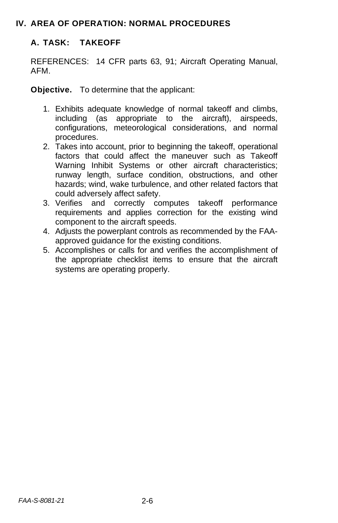## **IV. AREA OF OPERATION: NORMAL PROCEDURES**

## **A. TASK: TAKEOFF**

REFERENCES: 14 CFR parts 63, 91; Aircraft Operating Manual, AFM.

**Objective.** To determine that the applicant:

- 1. Exhibits adequate knowledge of normal takeoff and climbs, including (as appropriate to the aircraft), airspeeds, configurations, meteorological considerations, and normal procedures.
- 2. Takes into account, prior to beginning the takeoff, operational factors that could affect the maneuver such as Takeoff Warning Inhibit Systems or other aircraft characteristics; runway length, surface condition, obstructions, and other hazards; wind, wake turbulence, and other related factors that could adversely affect safety.
- 3. Verifies and correctly computes takeoff performance requirements and applies correction for the existing wind component to the aircraft speeds.
- 4. Adjusts the powerplant controls as recommended by the FAAapproved guidance for the existing conditions.
- 5. Accomplishes or calls for and verifies the accomplishment of the appropriate checklist items to ensure that the aircraft systems are operating properly.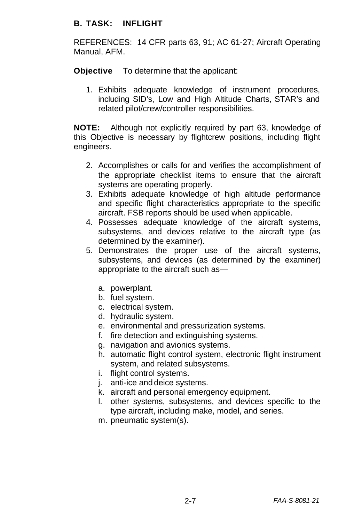## **B. TASK: INFLIGHT**

REFERENCES: 14 CFR parts 63, 91; AC 61-27; Aircraft Operating Manual, AFM.

**Objective** To determine that the applicant:

1. Exhibits adequate knowledge of instrument procedures, including SID's, Low and High Altitude Charts, STAR's and related pilot/crew/controller responsibilities.

**NOTE:** Although not explicitly required by part 63, knowledge of this Objective is necessary by flightcrew positions, including flight engineers.

- 2. Accomplishes or calls for and verifies the accomplishment of the appropriate checklist items to ensure that the aircraft systems are operating properly.
- 3. Exhibits adequate knowledge of high altitude performance and specific flight characteristics appropriate to the specific aircraft. FSB reports should be used when applicable.
- 4. Possesses adequate knowledge of the aircraft systems, subsystems, and devices relative to the aircraft type (as determined by the examiner).
- 5. Demonstrates the proper use of the aircraft systems, subsystems, and devices (as determined by the examiner) appropriate to the aircraft such as
	- a. powerplant.
	- b. fuel system.
	- c. electrical system.
	- d. hydraulic system.
	- e. environmental and pressurization systems.
	- f. fire detection and extinguishing systems.
	- g. navigation and avionics systems.
	- h. automatic flight control system, electronic flight instrument system, and related subsystems.
	- i. flight control systems.
	- j. anti-ice and deice systems.
	- k. aircraft and personal emergency equipment.
	- l. other systems, subsystems, and devices specific to the type aircraft, including make, model, and series.
	- m. pneumatic system(s).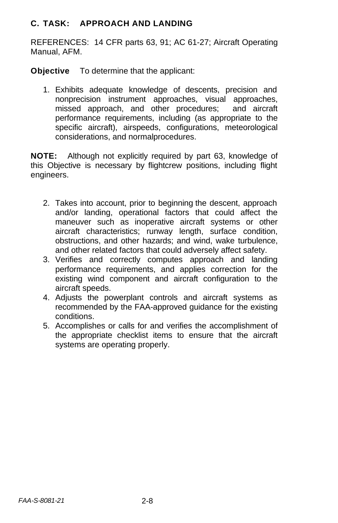## **C. TASK: APPROACH AND LANDING**

REFERENCES: 14 CFR parts 63, 91; AC 61-27; Aircraft Operating Manual, AFM.

**Objective** To determine that the applicant:

1. Exhibits adequate knowledge of descents, precision and nonprecision instrument approaches, visual approaches, missed approach, and other procedures; and aircraft performance requirements, including (as appropriate to the specific aircraft), airspeeds, configurations, meteorological considerations, and normal procedures.

**NOTE:** Although not explicitly required by part 63, knowledge of this Objective is necessary by flightcrew positions, including flight engineers.

- 2. Takes into account, prior to beginning the descent, approach and/or landing, operational factors that could affect the maneuver such as inoperative aircraft systems or other aircraft characteristics; runway length, surface condition, obstructions, and other hazards; and wind, wake turbulence, and other related factors that could adversely affect safety.
- 3. Verifies and correctly computes approach and landing performance requirements, and applies correction for the existing wind component and aircraft configuration to the aircraft speeds.
- 4. Adjusts the powerplant controls and aircraft systems as recommended by the FAA-approved guidance for the existing conditions.
- 5. Accomplishes or calls for and verifies the accomplishment of the appropriate checklist items to ensure that the aircraft systems are operating properly.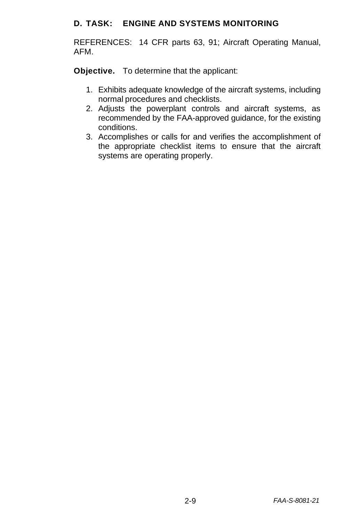## **D. TASK: ENGINE AND SYSTEMS MONITORING**

REFERENCES: 14 CFR parts 63, 91; Aircraft Operating Manual, AFM.

**Objective.** To determine that the applicant:

- 1. Exhibits adequate knowledge of the aircraft systems, including normal procedures and checklists.
- 2. Adjusts the powerplant controls and aircraft systems, as recommended by the FAA-approved guidance, for the existing conditions.
- 3. Accomplishes or calls for and verifies the accomplishment of the appropriate checklist items to ensure that the aircraft systems are operating properly.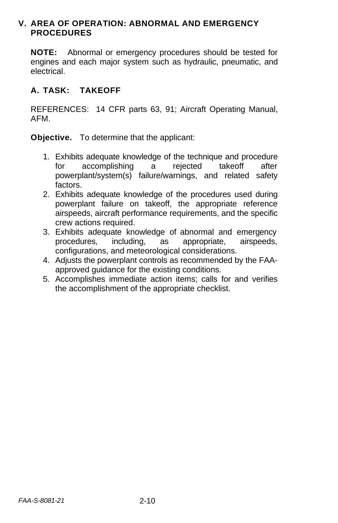#### **V. AREA OF OPERATION: ABNORMAL AND EMERGENCY PROCEDURES**

**NOTE:** Abnormal or emergency procedures should be tested for engines and each major system such as hydraulic, pneumatic, and electrical.

### **A. TASK: TAKEOFF**

REFERENCES: 14 CFR parts 63, 91; Aircraft Operating Manual, AFM.

**Objective.** To determine that the applicant:

- 1. Exhibits adequate knowledge of the technique and procedure for accomplishing a rejected takeoff after powerplant/system(s) failure/warnings, and related safety factors.
- 2. Exhibits adequate knowledge of the procedures used during powerplant failure on takeoff, the appropriate reference airspeeds, aircraft performance requirements, and the specific crew actions required.
- 3. Exhibits adequate knowledge of abnormal and emergency procedures, including, as appropriate, airspeeds, configurations, and meteorological considerations.
- 4. Adjusts the powerplant controls as recommended by the FAAapproved guidance for the existing conditions.
- 5. Accomplishes immediate action items; calls for and verifies the accomplishment of the appropriate checklist.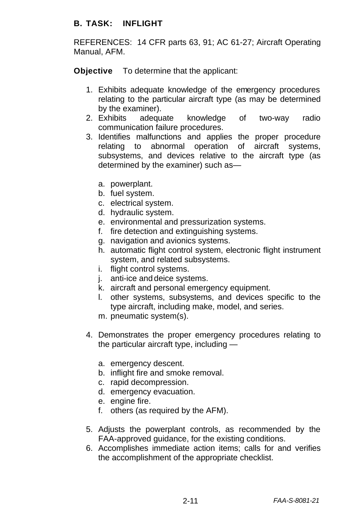## **B. TASK: INFLIGHT**

REFERENCES: 14 CFR parts 63, 91; AC 61-27; Aircraft Operating Manual, AFM.

**Objective** To determine that the applicant:

- 1. Exhibits adequate knowledge of the emergency procedures relating to the particular aircraft type (as may be determined by the examiner).
- 2. Exhibits adequate knowledge of two-way radio communication failure procedures.
- 3. Identifies malfunctions and applies the proper procedure relating to abnormal operation of aircraft systems, subsystems, and devices relative to the aircraft type (as determined by the examiner) such as
	- a. powerplant.
	- b. fuel system.
	- c. electrical system.
	- d. hydraulic system.
	- e. environmental and pressurization systems.
	- f. fire detection and extinguishing systems.
	- g. navigation and avionics systems.
	- h. automatic flight control system, electronic flight instrument system, and related subsystems.
	- i. flight control systems.
	- j. anti-ice and deice systems.
	- k. aircraft and personal emergency equipment.
	- l. other systems, subsystems, and devices specific to the type aircraft, including make, model, and series.
	- m. pneumatic system(s).
- 4. Demonstrates the proper emergency procedures relating to the particular aircraft type, including
	- a. emergency descent.
	- b. inflight fire and smoke removal.
	- c. rapid decompression.
	- d. emergency evacuation.
	- e. engine fire.
	- f. others (as required by the AFM).
- 5. Adjusts the powerplant controls, as recommended by the FAA-approved guidance, for the existing conditions.
- 6. Accomplishes immediate action items; calls for and verifies the accomplishment of the appropriate checklist.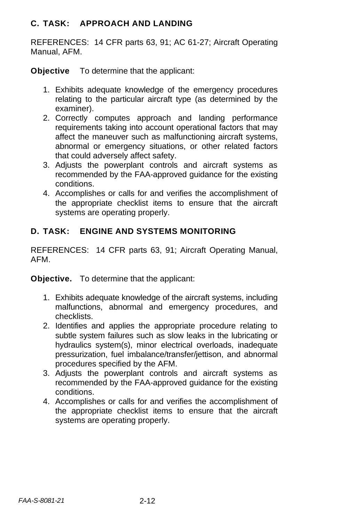## **C. TASK: APPROACH AND LANDING**

REFERENCES: 14 CFR parts 63, 91; AC 61-27; Aircraft Operating Manual, AFM.

**Objective** To determine that the applicant:

- 1. Exhibits adequate knowledge of the emergency procedures relating to the particular aircraft type (as determined by the examiner).
- 2. Correctly computes approach and landing performance requirements taking into account operational factors that may affect the maneuver such as malfunctioning aircraft systems, abnormal or emergency situations, or other related factors that could adversely affect safety.
- 3. Adjusts the powerplant controls and aircraft systems as recommended by the FAA-approved guidance for the existing conditions.
- 4. Accomplishes or calls for and verifies the accomplishment of the appropriate checklist items to ensure that the aircraft systems are operating properly.

## **D. TASK: ENGINE AND SYSTEMS MONITORING**

REFERENCES: 14 CFR parts 63, 91; Aircraft Operating Manual, AFM.

**Objective.** To determine that the applicant:

- 1. Exhibits adequate knowledge of the aircraft systems, including malfunctions, abnormal and emergency procedures, and checklists.
- 2. Identifies and applies the appropriate procedure relating to subtle system failures such as slow leaks in the lubricating or hydraulics system(s), minor electrical overloads, inadequate pressurization, fuel imbalance/transfer/jettison, and abnormal procedures specified by the AFM.
- 3. Adjusts the powerplant controls and aircraft systems as recommended by the FAA-approved guidance for the existing conditions.
- 4. Accomplishes or calls for and verifies the accomplishment of the appropriate checklist items to ensure that the aircraft systems are operating properly.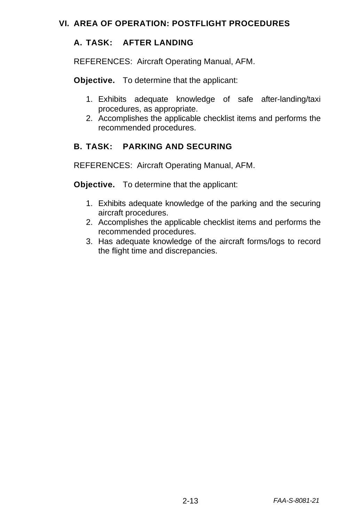## **VI. AREA OF OPERATION: POSTFLIGHT PROCEDURES**

## **A. TASK: AFTER LANDING**

REFERENCES: Aircraft Operating Manual, AFM.

**Objective.** To determine that the applicant:

- 1. Exhibits adequate knowledge of safe after-landing/taxi procedures, as appropriate.
- 2. Accomplishes the applicable checklist items and performs the recommended procedures.

## **B. TASK: PARKING AND SECURING**

REFERENCES: Aircraft Operating Manual, AFM.

**Objective.** To determine that the applicant:

- 1. Exhibits adequate knowledge of the parking and the securing aircraft procedures.
- 2. Accomplishes the applicable checklist items and performs the recommended procedures.
- 3. Has adequate knowledge of the aircraft forms/logs to record the flight time and discrepancies.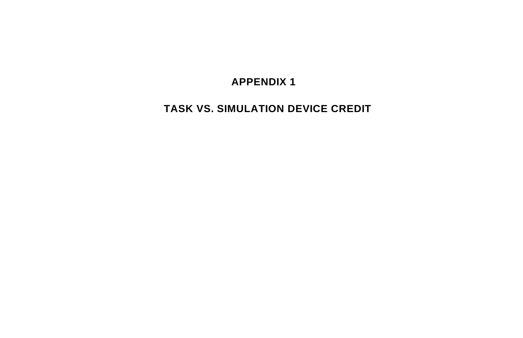## **APPENDIX 1**

## **TASK VS. SIMULATION DEVICE CREDIT**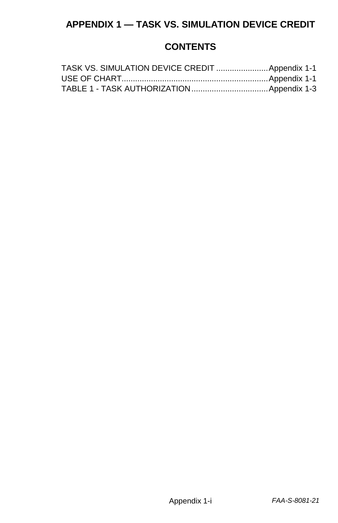# **APPENDIX 1 — TASK VS. SIMULATION DEVICE CREDIT**

## **CONTENTS**

| TASK VS. SIMULATION DEVICE CREDIT  Appendix 1-1 |  |
|-------------------------------------------------|--|
|                                                 |  |
|                                                 |  |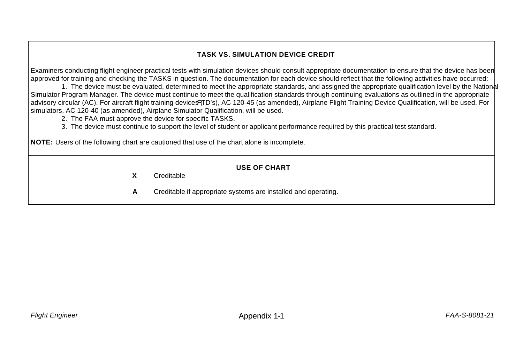#### **TASK VS. SIMULATION DEVICE CREDIT**

Examiners conducting flight engineer practical tests with simulation devices should consult appropriate documentation to ensure that the device has been approved for training and checking the TASKS in question. The documentation for each device should reflect that the following activities have occurred:

1. The device must be evaluated, determined to meet the appropriate standards, and assigned the appropriate qualification level by the National Simulator Program Manager. The device must continue to meet the qualification standards through continuing evaluations as outlined in the appropriate advisory circular (AC). For aircraft flight training devices (TD's), AC 120-45 (as amended), Airplane Flight Training Device Qualification, will be used. For simulators, AC 120-40 (as amended), Airplane Simulator Qualification, will be used.

2. The FAA must approve the device for specific TASKS.

3. The device must continue to support the level of student or applicant performance required by this practical test standard.

**NOTE:** Users of the following chart are cautioned that use of the chart alone is incomplete.

#### **USE OF CHART**

- **X** Creditable
- **A** Creditable if appropriate systems are installed and operating.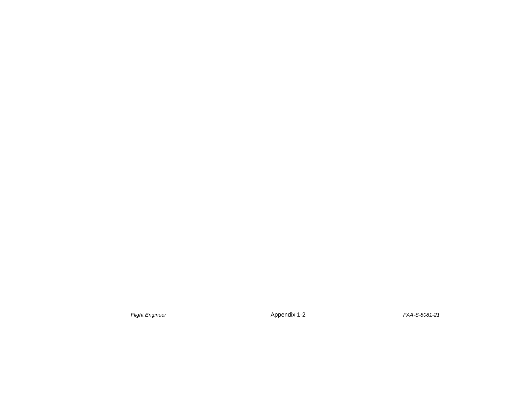Flight Engineer **Appendix 1-2 FAA-S-8081-21** *FAA-S-8081-21*